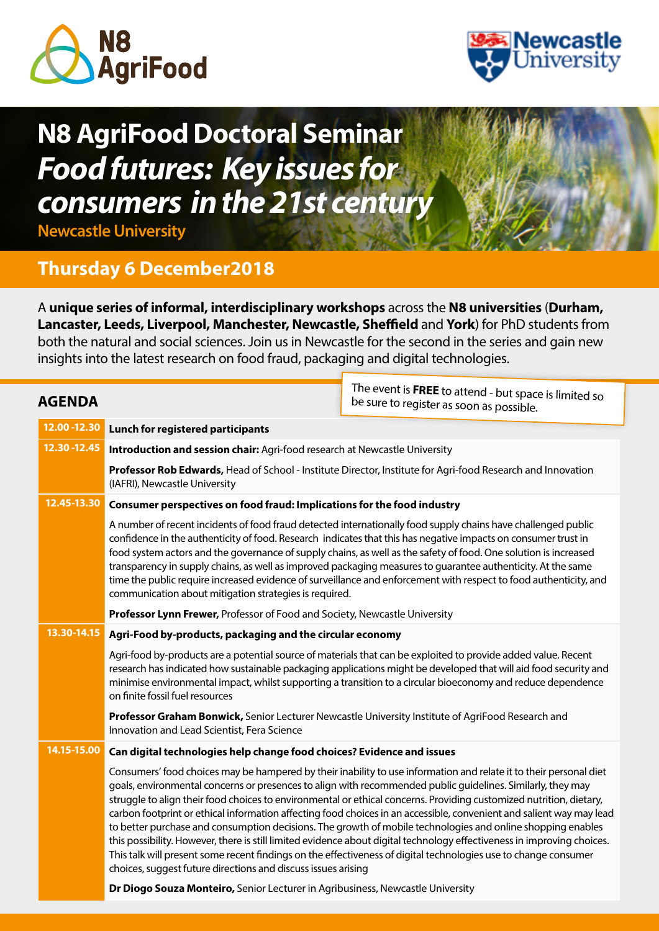



# **N8 AgriFood Doctoral Seminar** *Food futures: Key issues for consumers in the 21st century*

**Newcastle University**

# **Thursday 6 December2018**

A **unique series of informal, interdisciplinary workshops** across the **N8 universities** (**Durham, Lancaster, Leeds, Liverpool, Manchester, Newcastle, Sheffield** and **York**) for PhD students from both the natural and social sciences. Join us in Newcastle for the second in the series and gain new insights into the latest research on food fraud, packaging and digital technologies.

| <b>AGENDA</b> |                                                                                                                                                                                                                                                                                                                                                                                                                                                                                                                                                                                                                                                    | The event is <b>FREE</b> to attend - but space is limited so<br>be sure to register as soon as possible.                                                                                                                                                                                                                                                                                                                                                                                                                                                                                                                                                                                                                                                                                                                                      |
|---------------|----------------------------------------------------------------------------------------------------------------------------------------------------------------------------------------------------------------------------------------------------------------------------------------------------------------------------------------------------------------------------------------------------------------------------------------------------------------------------------------------------------------------------------------------------------------------------------------------------------------------------------------------------|-----------------------------------------------------------------------------------------------------------------------------------------------------------------------------------------------------------------------------------------------------------------------------------------------------------------------------------------------------------------------------------------------------------------------------------------------------------------------------------------------------------------------------------------------------------------------------------------------------------------------------------------------------------------------------------------------------------------------------------------------------------------------------------------------------------------------------------------------|
| 12.00 - 12.30 | Lunch for registered participants                                                                                                                                                                                                                                                                                                                                                                                                                                                                                                                                                                                                                  |                                                                                                                                                                                                                                                                                                                                                                                                                                                                                                                                                                                                                                                                                                                                                                                                                                               |
| 12.30 - 12.45 | Introduction and session chair: Agri-food research at Newcastle University                                                                                                                                                                                                                                                                                                                                                                                                                                                                                                                                                                         |                                                                                                                                                                                                                                                                                                                                                                                                                                                                                                                                                                                                                                                                                                                                                                                                                                               |
|               | Professor Rob Edwards, Head of School - Institute Director, Institute for Agri-food Research and Innovation<br>(IAFRI), Newcastle University                                                                                                                                                                                                                                                                                                                                                                                                                                                                                                       |                                                                                                                                                                                                                                                                                                                                                                                                                                                                                                                                                                                                                                                                                                                                                                                                                                               |
| 12.45-13.30   | Consumer perspectives on food fraud: Implications for the food industry                                                                                                                                                                                                                                                                                                                                                                                                                                                                                                                                                                            |                                                                                                                                                                                                                                                                                                                                                                                                                                                                                                                                                                                                                                                                                                                                                                                                                                               |
|               | A number of recent incidents of food fraud detected internationally food supply chains have challenged public<br>confidence in the authenticity of food. Research indicates that this has negative impacts on consumer trust in<br>food system actors and the governance of supply chains, as well as the safety of food. One solution is increased<br>transparency in supply chains, as well as improved packaging measures to guarantee authenticity. At the same<br>time the public require increased evidence of surveillance and enforcement with respect to food authenticity, and<br>communication about mitigation strategies is required. |                                                                                                                                                                                                                                                                                                                                                                                                                                                                                                                                                                                                                                                                                                                                                                                                                                               |
|               | Professor Lynn Frewer, Professor of Food and Society, Newcastle University                                                                                                                                                                                                                                                                                                                                                                                                                                                                                                                                                                         |                                                                                                                                                                                                                                                                                                                                                                                                                                                                                                                                                                                                                                                                                                                                                                                                                                               |
| 13.30-14.15   | Agri-Food by-products, packaging and the circular economy                                                                                                                                                                                                                                                                                                                                                                                                                                                                                                                                                                                          |                                                                                                                                                                                                                                                                                                                                                                                                                                                                                                                                                                                                                                                                                                                                                                                                                                               |
|               | on finite fossil fuel resources                                                                                                                                                                                                                                                                                                                                                                                                                                                                                                                                                                                                                    | Agri-food by-products are a potential source of materials that can be exploited to provide added value. Recent<br>research has indicated how sustainable packaging applications might be developed that will aid food security and<br>minimise environmental impact, whilst supporting a transition to a circular bioeconomy and reduce dependence                                                                                                                                                                                                                                                                                                                                                                                                                                                                                            |
|               | Professor Graham Bonwick, Senior Lecturer Newcastle University Institute of AgriFood Research and<br>Innovation and Lead Scientist, Fera Science                                                                                                                                                                                                                                                                                                                                                                                                                                                                                                   |                                                                                                                                                                                                                                                                                                                                                                                                                                                                                                                                                                                                                                                                                                                                                                                                                                               |
| 14.15-15.00   | Can digital technologies help change food choices? Evidence and issues                                                                                                                                                                                                                                                                                                                                                                                                                                                                                                                                                                             |                                                                                                                                                                                                                                                                                                                                                                                                                                                                                                                                                                                                                                                                                                                                                                                                                                               |
|               | choices, suggest future directions and discuss issues arising                                                                                                                                                                                                                                                                                                                                                                                                                                                                                                                                                                                      | Consumers' food choices may be hampered by their inability to use information and relate it to their personal diet<br>goals, environmental concerns or presences to align with recommended public guidelines. Similarly, they may<br>struggle to align their food choices to environmental or ethical concerns. Providing customized nutrition, dietary,<br>carbon footprint or ethical information affecting food choices in an accessible, convenient and salient way may lead<br>to better purchase and consumption decisions. The growth of mobile technologies and online shopping enables<br>this possibility. However, there is still limited evidence about digital technology effectiveness in improving choices.<br>This talk will present some recent findings on the effectiveness of digital technologies use to change consumer |
|               | Dr Diogo Souza Monteiro, Senior Lecturer in Agribusiness, Newcastle University                                                                                                                                                                                                                                                                                                                                                                                                                                                                                                                                                                     |                                                                                                                                                                                                                                                                                                                                                                                                                                                                                                                                                                                                                                                                                                                                                                                                                                               |